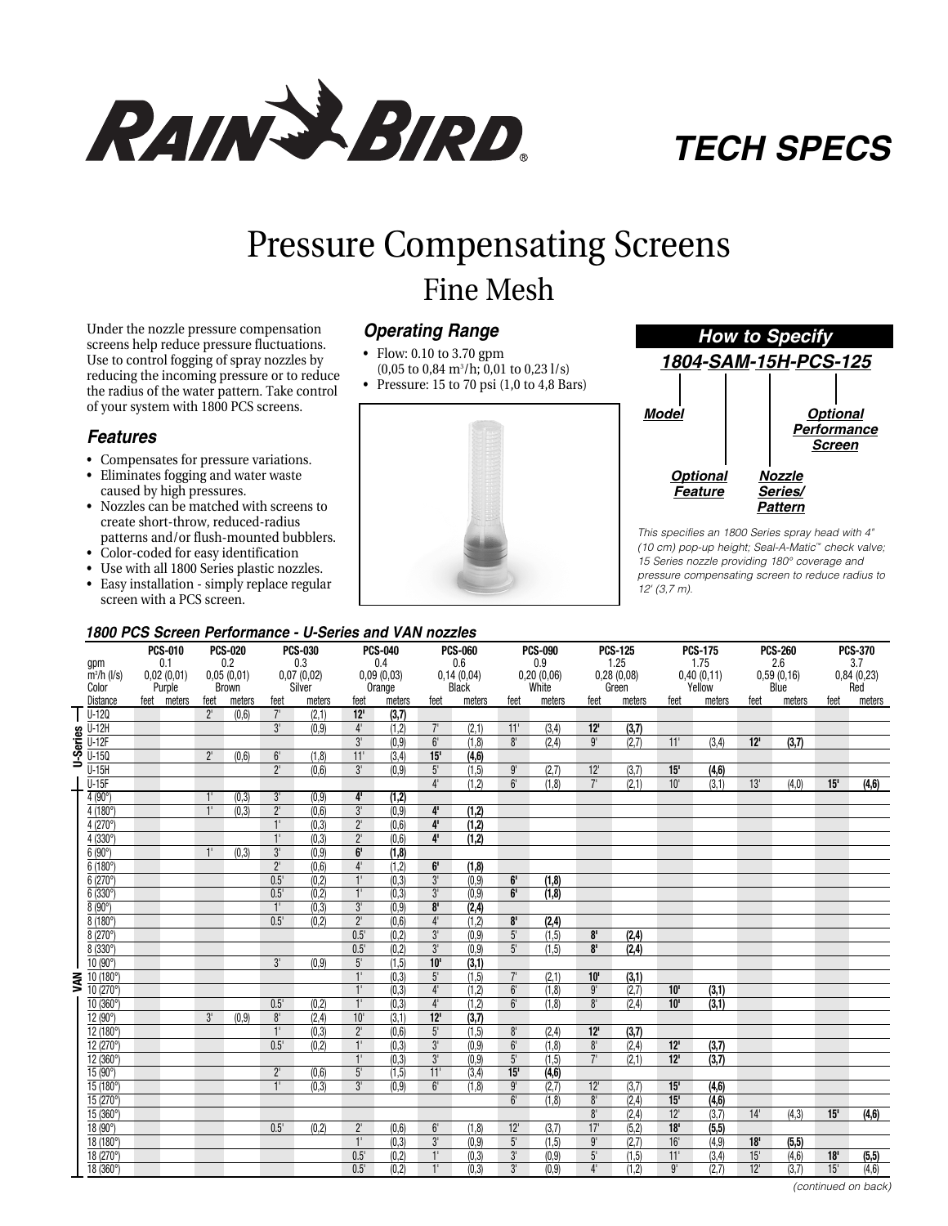

# *TECH SPECS*

# Pressure Compensating Screens

# Fine Mesh

Under the nozzle pressure compensation screens help reduce pressure fluctuations. Use to control fogging of spray nozzles by reducing the incoming pressure or to reduce the radius of the water pattern. Take control of your system with 1800 PCS screens.

## *Features*

- Compensates for pressure variations.
- Eliminates fogging and water waste
- caused by high pressures. • Nozzles can be matched with screens to create short-throw, reduced-radius patterns and/or flush-mounted bubblers.
- Color-coded for easy identification
- Use with all 1800 Series plastic nozzles.
- Easy installation simply replace regular screen with a PCS screen.

# *Operating Range*

- Flow: 0.10 to 3.70 gpm  $(0,05 \text{ to } 0.84 \text{ m}^3/\text{h}; 0,01 \text{ to } 0.23 \text{ l/s})$
- Pressure: 15 to 70 psi (1,0 to 4,8 Bars)





*This specifies an 1800 Series spray head with 4" (10 cm) pop-up height; Seal-A-Matic™ check valve; 15 Series nozzle providing 180° coverage and pressure compensating screen to reduce radius to 12' (3,7 m).*

### *1800 PCS Screen Performance - U-Series and VAN nozzles*

|          | gpm<br>$\overline{m}^3/h$ (I/s) | <b>PCS-010</b><br>0.1<br>0,02(0,01)<br>Purple<br>feet meters |  | <b>PCS-020</b><br>0.2<br>0,05(0,01)<br>Brown |                 | <b>PCS-030</b><br>0.3<br>0,07(0,02)<br>Silver |                 | <b>PCS-040</b><br>0.4<br>0,09(0,03)<br>Orange |                | <b>PCS-060</b><br>0.6<br>0,14(0,04) |              | <b>PCS-090</b><br>0.9<br>0,20(0,06) |        | <b>PCS-125</b><br>1.25<br>0,28(0,08) |        | <b>PCS-175</b><br>1.75<br>0,40(0,11) |        | <b>PCS-260</b><br>2.6<br>0,59(0,16) |        | <b>PCS-370</b><br>3.7<br>0,84(0,23) |        |
|----------|---------------------------------|--------------------------------------------------------------|--|----------------------------------------------|-----------------|-----------------------------------------------|-----------------|-----------------------------------------------|----------------|-------------------------------------|--------------|-------------------------------------|--------|--------------------------------------|--------|--------------------------------------|--------|-------------------------------------|--------|-------------------------------------|--------|
|          | Color                           |                                                              |  |                                              |                 |                                               |                 |                                               |                |                                     | <b>Black</b> | White                               |        | Green                                |        | Yellow                               |        | Blue                                |        | Red                                 |        |
|          | Distance<br>$U-120$             |                                                              |  | feet<br>$2^1$                                | meters<br>(0,6) | feet<br>7'                                    | meters<br>(2,1) | feet<br>$12$ '                                | meters         | feet                                | meters       | feet                                | meters | feet                                 | meters | feet                                 | meters | feet                                | meters | feet                                | meters |
|          | $U-12H$                         |                                                              |  |                                              |                 | $3^{\circ}$                                   | (0, 9)          | $4^{\scriptscriptstyle{\mathrm{I}}}$          | (3,7)<br>(1,2) | $7^{\circ}$                         | (2,1)        | 11'                                 | (3,4)  | 12'                                  | (3,7)  |                                      |        |                                     |        |                                     |        |
|          | $U-12F$                         |                                                              |  |                                              |                 |                                               |                 | $3^{\circ}$                                   | (0, 9)         | $6^{\circ}$                         | (1, 8)       | 8 <sup>1</sup>                      | (2, 4) | 9'                                   | (2,7)  | 11'                                  | (3,4)  | 12'                                 | (3,7)  |                                     |        |
| U-Series | $U-150$                         |                                                              |  | $2^{\circ}$                                  | (0,6)           | 6 <sup>1</sup>                                | (1, 8)          | 11'                                           | (3,4)          | 15'                                 | (4, 6)       |                                     |        |                                      |        |                                      |        |                                     |        |                                     |        |
|          | $\overline{U-15H}$              |                                                              |  |                                              |                 | $2^{\circ}$                                   | (0,6)           | $3^{\circ}$                                   | (0.9)          | $5^{\circ}$                         | (1,5)        | $9^{\circ}$                         | (2,7)  | $12$ '                               | (3,7)  | 15'                                  | (4, 6) |                                     |        |                                     |        |
|          | $U-15F$                         |                                                              |  |                                              |                 |                                               |                 |                                               |                | $4^{\circ}$                         | (1,2)        | 6 <sup>1</sup>                      | (1,8)  | 7 <sup>1</sup>                       | (2,1)  | 10 <sup>1</sup>                      | (3,1)  | 13'                                 | (4,0)  | 15'                                 | (4, 6) |
|          | 4(90°)                          |                                                              |  | 1'                                           | (0,3)           | 3'                                            | (0, 9)          | $\overline{4}$                                | (1,2)          |                                     |              |                                     |        |                                      |        |                                      |        |                                     |        |                                     |        |
|          | 4(180°)                         |                                                              |  | 1 <sup>1</sup>                               | (0, 3)          | $\overline{2}$                                | (0,6)           | $\overline{3}$ <sup>r</sup>                   | (0, 9)         | $4^{\prime}$                        | (1,2)        |                                     |        |                                      |        |                                      |        |                                     |        |                                     |        |
|          | 4 (270°)                        |                                                              |  |                                              |                 | 1 <sup>1</sup>                                | (0, 3)          | $2^{\circ}$                                   | (0,6)          | 4 <sup>1</sup>                      | (1,2)        |                                     |        |                                      |        |                                      |        |                                     |        |                                     |        |
|          | 4 (330°)                        |                                                              |  |                                              |                 | 1 <sup>1</sup>                                | (0, 3)          | $2^{\circ}$                                   | (0,6)          | 4 <sup>1</sup>                      | (1,2)        |                                     |        |                                      |        |                                      |        |                                     |        |                                     |        |
|          | 6(90°)                          |                                                              |  | $\overline{1}$                               | (0, 3)          | $3^{\circ}$                                   | (0, 9)          | $\overline{6}$                                | (1, 8)         |                                     |              |                                     |        |                                      |        |                                      |        |                                     |        |                                     |        |
|          | 6 (180°)                        |                                                              |  |                                              |                 | $2^{\circ}$                                   | (0, 6)          | 4 <sup>1</sup>                                | (1,2)          | 6 <sup>1</sup>                      | (1,8)        |                                     |        |                                      |        |                                      |        |                                     |        |                                     |        |
|          | 6(270°)                         |                                                              |  |                                              |                 | $0.5^{\circ}$                                 | (0,2)           | 1 <sup>1</sup>                                | (0,3)          | $\overline{3'}$                     | (0, 9)       | 6'                                  | (1,8)  |                                      |        |                                      |        |                                     |        |                                     |        |
|          | 6 (330°)                        |                                                              |  |                                              |                 | $0.5^{\circ}$                                 | (0, 2)          | $1^{\circ}$                                   | (0, 3)         | 3'                                  | (0, 9)       | 6 <sup>1</sup>                      | (1,8)  |                                      |        |                                      |        |                                     |        |                                     |        |
|          | $8(90^{\circ})$                 |                                                              |  |                                              |                 | $\overline{1}$                                | (0, 3)          | 3 <sup>1</sup>                                | (0, 9)         | 8 <sup>1</sup>                      | (2, 4)       |                                     |        |                                      |        |                                      |        |                                     |        |                                     |        |
|          | 8 (180°)                        |                                                              |  |                                              |                 | 0.5'                                          | (0,2)           | 2 <sup>1</sup>                                | (0, 6)         | $4^{\circ}$                         | (1,2)        | 8 <sup>1</sup>                      | (2, 4) |                                      |        |                                      |        |                                     |        |                                     |        |
|          | 8(270°)                         |                                                              |  |                                              |                 |                                               |                 | 0.5'                                          | (0,2)          | 3'                                  | (0,9)        | $5^{\circ}$                         | (1.5)  | 8 <sup>1</sup>                       | (2, 4) |                                      |        |                                     |        |                                     |        |
|          | 8(330°)                         |                                                              |  |                                              |                 |                                               |                 | $0.5^{\circ}$                                 | (0, 2)         | 3'                                  | (0, 9)       | 5 <sup>1</sup>                      | (1,5)  | 8 <sup>1</sup>                       | (2, 4) |                                      |        |                                     |        |                                     |        |
|          | 10 (90°)                        |                                                              |  |                                              |                 | 3 <sup>1</sup>                                | (0,9)           | 5 <sup>1</sup>                                | (1, 5)         | 10 <sup>1</sup>                     | (3, 1)       |                                     |        |                                      |        |                                      |        |                                     |        |                                     |        |
| ℥        | 10 (180°)                       |                                                              |  |                                              |                 |                                               |                 | 1 <sup>1</sup>                                | (0,3)          | 5 <sup>1</sup>                      | (1,5)        | 7 <sup>1</sup>                      | (2,1)  | 10 <sup>1</sup>                      | (3,1)  |                                      |        |                                     |        |                                     |        |
|          | 10 (270°)                       |                                                              |  |                                              |                 |                                               |                 | 1 <sup>1</sup>                                | (0,3)          | $4^{\circ}$                         | (1,2)        | 6 <sup>1</sup>                      | (1,8)  | 9'                                   | (2,7)  | 10'                                  | (3,1)  |                                     |        |                                     |        |
|          | 10 (360°)                       |                                                              |  |                                              |                 | $0.5^{\circ}$                                 | (0,2)           | $1^{\circ}$                                   | (0, 3)         | $4^{\circ}$                         | (1,2)        | 6 <sup>1</sup>                      | (1, 8) | $8^{\circ}$                          | (2, 4) | 10'                                  | (3,1)  |                                     |        |                                     |        |
|          | 12(90°)                         |                                                              |  | 3'                                           | (0, 9)          | 8 <sup>1</sup>                                | (2, 4)          | 10 <sup>1</sup>                               | (3,1)          | $12$ '                              | (3,7)        |                                     |        |                                      |        |                                      |        |                                     |        |                                     |        |
|          | 12 (180°)                       |                                                              |  |                                              |                 | $1^{\circ}$                                   | (0, 3)          | $2^{\circ}$                                   | (0, 6)         | 5 <sup>1</sup>                      | (1, 5)       | 8 <sup>1</sup>                      | (2, 4) | 12'                                  | (3,7)  |                                      |        |                                     |        |                                     |        |
|          | 12 (270°)                       |                                                              |  |                                              |                 | 0.5                                           | (0,2)           | $1^{\circ}$                                   | (0, 3)         | 3'                                  | (0, 9)       | $6^{\circ}$                         | (1,8)  | $\overline{8}$                       | (2, 4) | 12'                                  | (3,7)  |                                     |        |                                     |        |
|          | $12(360^{\circ})$               |                                                              |  |                                              |                 |                                               |                 | $\overline{1}$                                | (0, 3)         | $3^{\circ}$                         | (0.9)        | 5 <sup>1</sup>                      | (1, 5) | 7 <sup>1</sup>                       | (2.1)  | 12                                   | (3,7)  |                                     |        |                                     |        |
|          | 15 (90°)                        |                                                              |  |                                              |                 | $2^{\circ}$                                   | (0,6)           | $5^{\circ}$                                   | (1, 5)         | 11'                                 | (3,4)        | 15'                                 | (4, 6) |                                      |        |                                      |        |                                     |        |                                     |        |
|          | 15(180°)                        |                                                              |  |                                              |                 | $\overline{1}$                                | (0,3)           | $\overline{3}$                                | (0,9)          | 6 <sup>1</sup>                      | (1, 8)       | 9'                                  | (2,7)  | $\overline{12}$                      | (3,7)  | 15'                                  | (4,6)  |                                     |        |                                     |        |
|          | 15 (270°)                       |                                                              |  |                                              |                 |                                               |                 |                                               |                |                                     |              | 6 <sup>1</sup>                      | (1.8)  | 8 <sup>1</sup>                       | (2, 4) | 15'                                  | (4,6)  |                                     |        |                                     |        |
|          | 15 (360°)                       |                                                              |  |                                              |                 |                                               |                 |                                               |                |                                     |              |                                     |        | 8 <sup>1</sup>                       | (2, 4) | 12                                   | (3,7)  | 14'                                 | (4, 3) | 15'                                 | (4,6)  |
|          | $18(90^\circ)$                  |                                                              |  |                                              |                 | $0.5^{\circ}$                                 | (0,2)           | $2^{\circ}$                                   | (0,6)          | $6^{\circ}$                         | (1,8)        | $12$ '                              | (3,7)  | 17'                                  | (5, 2) | 18'                                  | (5,5)  |                                     |        |                                     |        |
|          | $18(180^\circ)$                 |                                                              |  |                                              |                 |                                               |                 | 1 <sup>T</sup>                                | (0,3)          | 3'                                  | (0, 9)       | $5^{\circ}$                         | (1, 5) | 9'                                   | (2,7)  | 16'                                  | (4, 9) | 18'                                 | (5, 5) |                                     |        |
|          | $18(270^{\circ})$               |                                                              |  |                                              |                 |                                               |                 | 0.5'                                          | (0, 2)         | 1'                                  | (0,3)        | 3 <sup>1</sup>                      | (0, 9) | 5'                                   | (1, 5) | 11'                                  | (3, 4) | 15'                                 | (4, 6) | 18'                                 | (5, 5) |
|          | 18 (360°)                       |                                                              |  |                                              |                 |                                               |                 | $0.5^{\circ}$                                 | (0,2)          | 1 <sup>1</sup>                      | (0, 3)       | 3 <sup>1</sup>                      | (0,9)  | $\mathbf{4}^{\mathsf{I}}$            | (1, 2) | 9'                                   | (2.7)  | 12'                                 | (3,7)  | 15'                                 | (4,6)  |